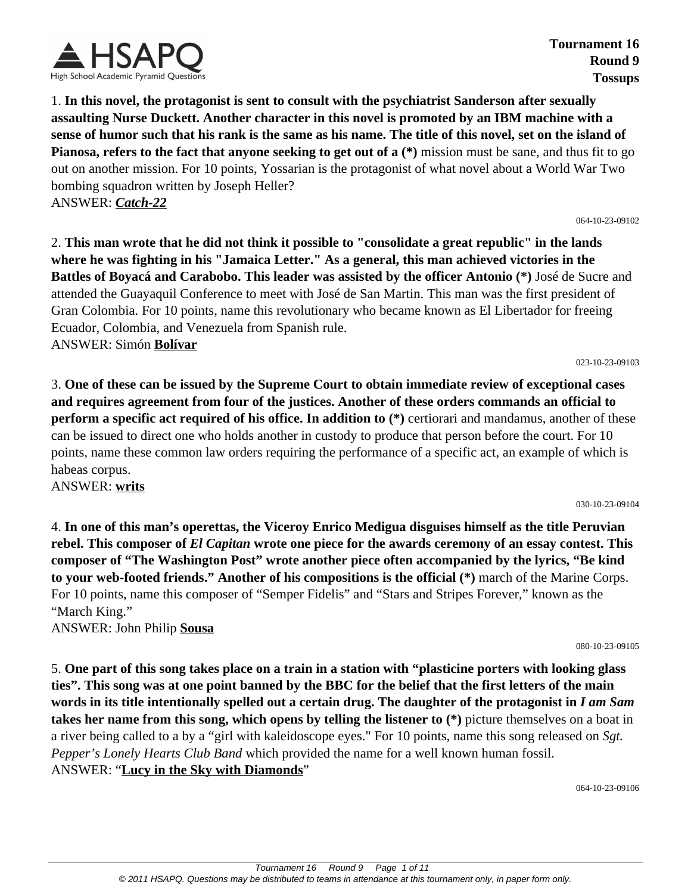

**Tournament 16 Round 9 Tossups**

1. **In this novel, the protagonist is sent to consult with the psychiatrist Sanderson after sexually assaulting Nurse Duckett. Another character in this novel is promoted by an IBM machine with a sense of humor such that his rank is the same as his name. The title of this novel, set on the island of Pianosa, refers to the fact that anyone seeking to get out of a (\*)** mission must be sane, and thus fit to go out on another mission. For 10 points, Yossarian is the protagonist of what novel about a World War Two bombing squadron written by Joseph Heller? ANSWER: *Catch-22*

064-10-23-09102

2. **This man wrote that he did not think it possible to "consolidate a great republic" in the lands where he was fighting in his "Jamaica Letter." As a general, this man achieved victories in the Battles of Boyacá and Carabobo. This leader was assisted by the officer Antonio (\*)** José de Sucre and attended the Guayaquil Conference to meet with José de San Martin. This man was the first president of Gran Colombia. For 10 points, name this revolutionary who became known as El Libertador for freeing Ecuador, Colombia, and Venezuela from Spanish rule. ANSWER: Simón **Bolívar**

023-10-23-09103

3. **One of these can be issued by the Supreme Court to obtain immediate review of exceptional cases and requires agreement from four of the justices. Another of these orders commands an official to perform a specific act required of his office. In addition to (\*)** certiorari and mandamus, another of these can be issued to direct one who holds another in custody to produce that person before the court. For 10 points, name these common law orders requiring the performance of a specific act, an example of which is habeas corpus.

ANSWER: **writs**

030-10-23-09104

4. **In one of this man's operettas, the Viceroy Enrico Medigua disguises himself as the title Peruvian rebel. This composer of** *El Capitan* **wrote one piece for the awards ceremony of an essay contest. This composer of "The Washington Post" wrote another piece often accompanied by the lyrics, "Be kind to your web-footed friends." Another of his compositions is the official (\*)** march of the Marine Corps. For 10 points, name this composer of "Semper Fidelis" and "Stars and Stripes Forever," known as the "March King."

ANSWER: John Philip **Sousa**

080-10-23-09105

5. **One part of this song takes place on a train in a station with "plasticine porters with looking glass ties". This song was at one point banned by the BBC for the belief that the first letters of the main words in its title intentionally spelled out a certain drug. The daughter of the protagonist in** *I am Sam* **takes her name from this song, which opens by telling the listener to (\*)** picture themselves on a boat in a river being called to a by a "girl with kaleidoscope eyes." For 10 points, name this song released on *Sgt. Pepper's Lonely Hearts Club Band* which provided the name for a well known human fossil. ANSWER: "**Lucy in the Sky with Diamonds**"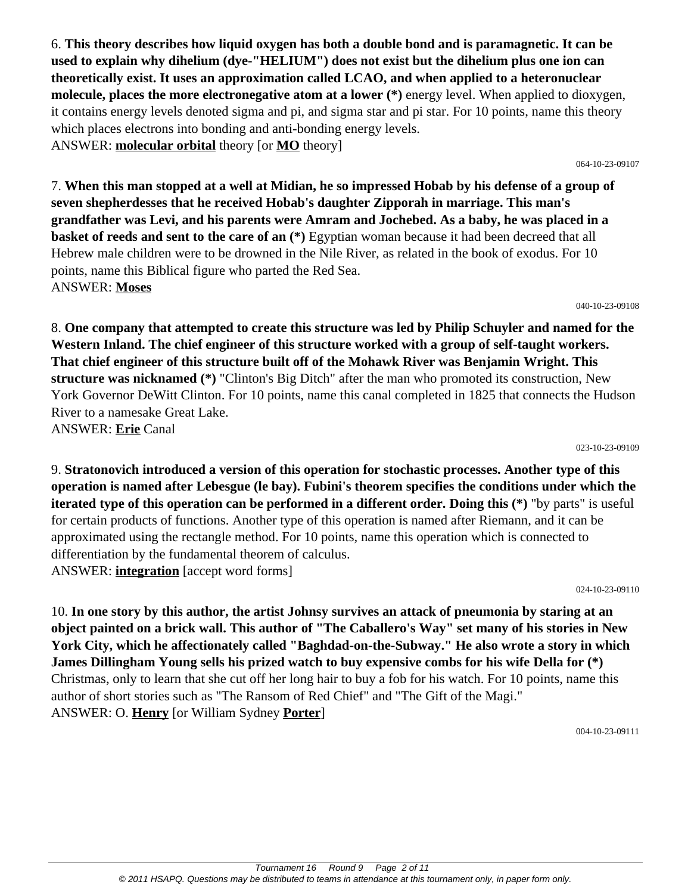6. **This theory describes how liquid oxygen has both a double bond and is paramagnetic. It can be used to explain why dihelium (dye-"HELIUM") does not exist but the dihelium plus one ion can theoretically exist. It uses an approximation called LCAO, and when applied to a heteronuclear molecule, places the more electronegative atom at a lower (\*)** energy level. When applied to dioxygen, it contains energy levels denoted sigma and pi, and sigma star and pi star. For 10 points, name this theory which places electrons into bonding and anti-bonding energy levels. ANSWER: **molecular orbital** theory [or **MO** theory]

064-10-23-09107

7. **When this man stopped at a well at Midian, he so impressed Hobab by his defense of a group of seven shepherdesses that he received Hobab's daughter Zipporah in marriage. This man's grandfather was Levi, and his parents were Amram and Jochebed. As a baby, he was placed in a basket of reeds and sent to the care of an (\*)** Egyptian woman because it had been decreed that all Hebrew male children were to be drowned in the Nile River, as related in the book of exodus. For 10 points, name this Biblical figure who parted the Red Sea. ANSWER: **Moses**

040-10-23-09108

8. **One company that attempted to create this structure was led by Philip Schuyler and named for the Western Inland. The chief engineer of this structure worked with a group of self-taught workers. That chief engineer of this structure built off of the Mohawk River was Benjamin Wright. This structure was nicknamed (\*)** "Clinton's Big Ditch" after the man who promoted its construction, New York Governor DeWitt Clinton. For 10 points, name this canal completed in 1825 that connects the Hudson River to a namesake Great Lake. ANSWER: **Erie** Canal

023-10-23-09109

9. **Stratonovich introduced a version of this operation for stochastic processes. Another type of this operation is named after Lebesgue (le bay). Fubini's theorem specifies the conditions under which the iterated type of this operation can be performed in a different order. Doing this (\*)** "by parts" is useful for certain products of functions. Another type of this operation is named after Riemann, and it can be approximated using the rectangle method. For 10 points, name this operation which is connected to differentiation by the fundamental theorem of calculus. ANSWER: **integration** [accept word forms]

024-10-23-09110

10. **In one story by this author, the artist Johnsy survives an attack of pneumonia by staring at an object painted on a brick wall. This author of "The Caballero's Way" set many of his stories in New York City, which he affectionately called "Baghdad-on-the-Subway." He also wrote a story in which James Dillingham Young sells his prized watch to buy expensive combs for his wife Della for (\*)** Christmas, only to learn that she cut off her long hair to buy a fob for his watch. For 10 points, name this author of short stories such as "The Ransom of Red Chief" and "The Gift of the Magi." ANSWER: O. **Henry** [or William Sydney **Porter**]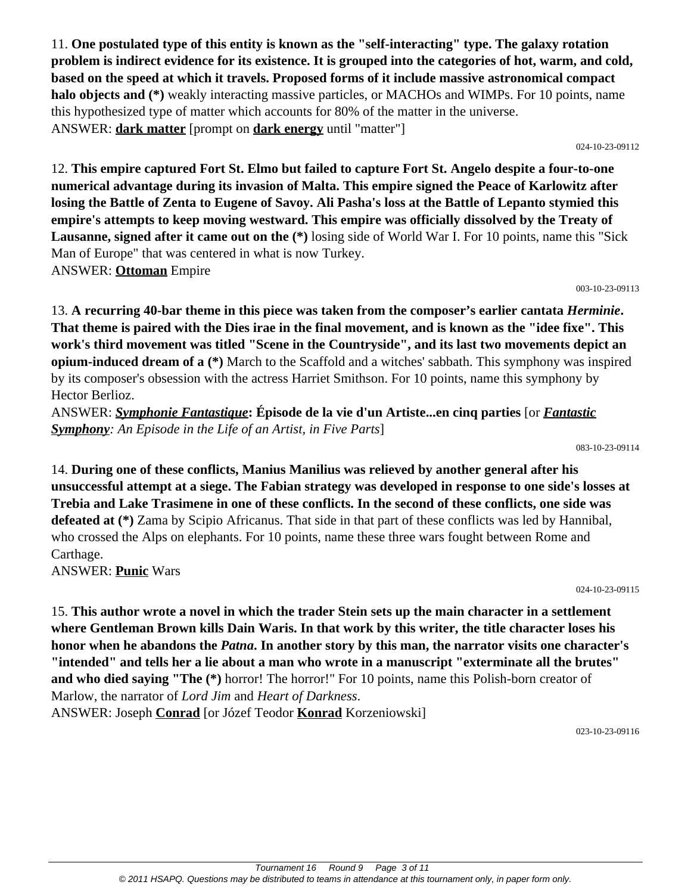11. **One postulated type of this entity is known as the "self-interacting" type. The galaxy rotation problem is indirect evidence for its existence. It is grouped into the categories of hot, warm, and cold, based on the speed at which it travels. Proposed forms of it include massive astronomical compact halo objects and (\*)** weakly interacting massive particles, or MACHOs and WIMPs. For 10 points, name this hypothesized type of matter which accounts for 80% of the matter in the universe. ANSWER: **dark matter** [prompt on **dark energy** until "matter"]

024-10-23-09112

12. **This empire captured Fort St. Elmo but failed to capture Fort St. Angelo despite a four-to-one numerical advantage during its invasion of Malta. This empire signed the Peace of Karlowitz after losing the Battle of Zenta to Eugene of Savoy. Ali Pasha's loss at the Battle of Lepanto stymied this empire's attempts to keep moving westward. This empire was officially dissolved by the Treaty of Lausanne, signed after it came out on the (\*)** losing side of World War I. For 10 points, name this "Sick Man of Europe" that was centered in what is now Turkey. ANSWER: **Ottoman** Empire

003-10-23-09113

13. **A recurring 40-bar theme in this piece was taken from the composer's earlier cantata** *Herminie***. That theme is paired with the Dies irae in the final movement, and is known as the "idee fixe". This work's third movement was titled "Scene in the Countryside", and its last two movements depict an opium-induced dream of a (\*)** March to the Scaffold and a witches' sabbath. This symphony was inspired by its composer's obsession with the actress Harriet Smithson. For 10 points, name this symphony by Hector Berlioz.

ANSWER: *Symphonie Fantastique***: Épisode de la vie d'un Artiste...en cinq parties** [or *Fantastic Symphony: An Episode in the Life of an Artist, in Five Parts*]

083-10-23-09114

14. **During one of these conflicts, Manius Manilius was relieved by another general after his unsuccessful attempt at a siege. The Fabian strategy was developed in response to one side's losses at Trebia and Lake Trasimene in one of these conflicts. In the second of these conflicts, one side was defeated at (\*)** Zama by Scipio Africanus. That side in that part of these conflicts was led by Hannibal, who crossed the Alps on elephants. For 10 points, name these three wars fought between Rome and Carthage.

ANSWER: **Punic** Wars

024-10-23-09115

15. **This author wrote a novel in which the trader Stein sets up the main character in a settlement where Gentleman Brown kills Dain Waris. In that work by this writer, the title character loses his honor when he abandons the** *Patna***. In another story by this man, the narrator visits one character's "intended" and tells her a lie about a man who wrote in a manuscript "exterminate all the brutes"** and who died saying "The  $(*)$  horror! The horror!" For 10 points, name this Polish-born creator of Marlow, the narrator of *Lord Jim* and *Heart of Darkness*. ANSWER: Joseph **Conrad** [or Józef Teodor **Konrad** Korzeniowski]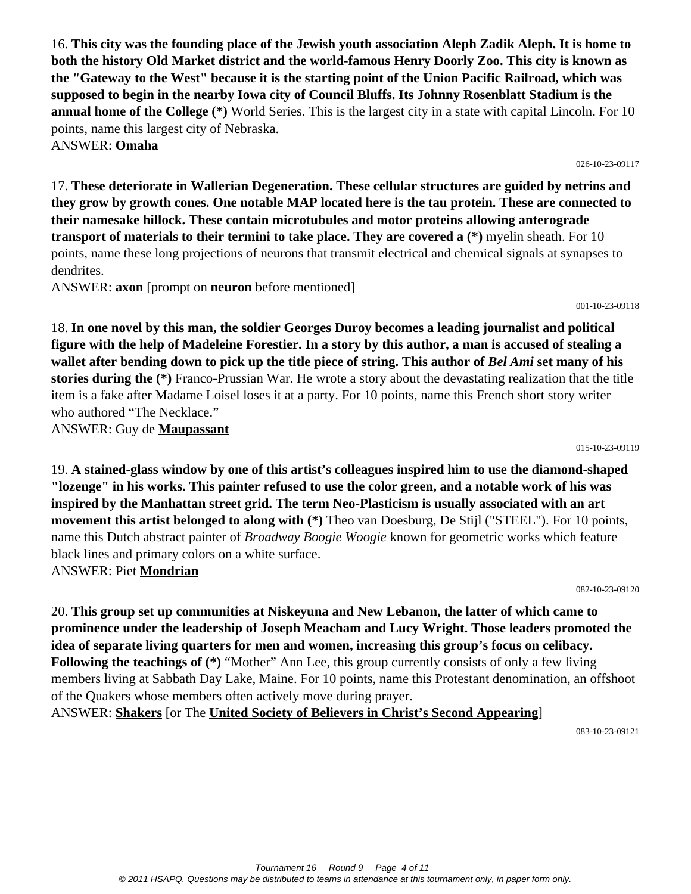16. **This city was the founding place of the Jewish youth association Aleph Zadik Aleph. It is home to both the history Old Market district and the world-famous Henry Doorly Zoo. This city is known as the "Gateway to the West" because it is the starting point of the Union Pacific Railroad, which was supposed to begin in the nearby Iowa city of Council Bluffs. Its Johnny Rosenblatt Stadium is the annual home of the College (\*)** World Series. This is the largest city in a state with capital Lincoln. For 10 points, name this largest city of Nebraska. ANSWER: **Omaha**

17. **These deteriorate in Wallerian Degeneration. These cellular structures are guided by netrins and they grow by growth cones. One notable MAP located here is the tau protein. These are connected to their namesake hillock. These contain microtubules and motor proteins allowing anterograde transport of materials to their termini to take place. They are covered a (\*)** myelin sheath. For 10 points, name these long projections of neurons that transmit electrical and chemical signals at synapses to dendrites.

ANSWER: **axon** [prompt on **neuron** before mentioned]

001-10-23-09118

026-10-23-09117

18. **In one novel by this man, the soldier Georges Duroy becomes a leading journalist and political figure with the help of Madeleine Forestier. In a story by this author, a man is accused of stealing a wallet after bending down to pick up the title piece of string. This author of** *Bel Ami* **set many of his stories during the (\*)** Franco-Prussian War. He wrote a story about the devastating realization that the title item is a fake after Madame Loisel loses it at a party. For 10 points, name this French short story writer who authored "The Necklace."

ANSWER: Guy de **Maupassant**

015-10-23-09119

19. **A stained-glass window by one of this artist's colleagues inspired him to use the diamond-shaped "lozenge" in his works. This painter refused to use the color green, and a notable work of his was inspired by the Manhattan street grid. The term Neo-Plasticism is usually associated with an art movement this artist belonged to along with (\*)** Theo van Doesburg, De Stijl ("STEEL"). For 10 points, name this Dutch abstract painter of *Broadway Boogie Woogie* known for geometric works which feature black lines and primary colors on a white surface. ANSWER: Piet **Mondrian**

082-10-23-09120

20. **This group set up communities at Niskeyuna and New Lebanon, the latter of which came to prominence under the leadership of Joseph Meacham and Lucy Wright. Those leaders promoted the idea of separate living quarters for men and women, increasing this group's focus on celibacy. Following the teachings of**  $(*)$  **"Mother" Ann Lee, this group currently consists of only a few living** members living at Sabbath Day Lake, Maine. For 10 points, name this Protestant denomination, an offshoot of the Quakers whose members often actively move during prayer.

ANSWER: **Shakers** [or The **United Society of Believers in Christ's Second Appearing**]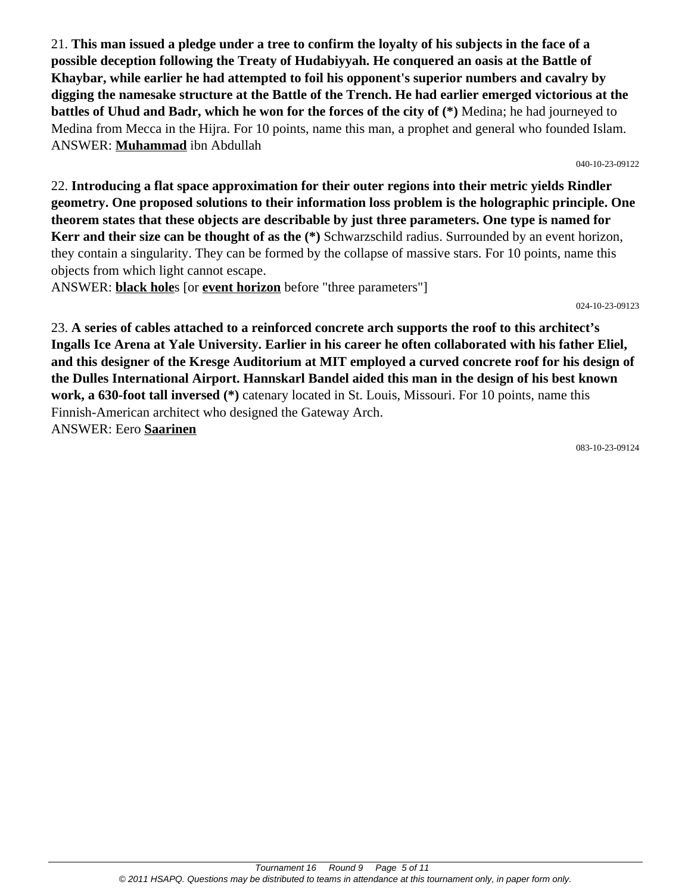21. **This man issued a pledge under a tree to confirm the loyalty of his subjects in the face of a possible deception following the Treaty of Hudabiyyah. He conquered an oasis at the Battle of Khaybar, while earlier he had attempted to foil his opponent's superior numbers and cavalry by digging the namesake structure at the Battle of the Trench. He had earlier emerged victorious at the battles of Uhud and Badr, which he won for the forces of the city of (\*)** Medina; he had journeyed to Medina from Mecca in the Hijra. For 10 points, name this man, a prophet and general who founded Islam. ANSWER: **Muhammad** ibn Abdullah

040-10-23-09122

22. **Introducing a flat space approximation for their outer regions into their metric yields Rindler geometry. One proposed solutions to their information loss problem is the holographic principle. One theorem states that these objects are describable by just three parameters. One type is named for Kerr and their size can be thought of as the (\*)** Schwarzschild radius. Surrounded by an event horizon, they contain a singularity. They can be formed by the collapse of massive stars. For 10 points, name this objects from which light cannot escape.

ANSWER: **black hole**s [or **event horizon** before "three parameters"]

024-10-23-09123

23. **A series of cables attached to a reinforced concrete arch supports the roof to this architect's Ingalls Ice Arena at Yale University. Earlier in his career he often collaborated with his father Eliel, and this designer of the Kresge Auditorium at MIT employed a curved concrete roof for his design of the Dulles International Airport. Hannskarl Bandel aided this man in the design of his best known work, a 630-foot tall inversed (\*)** catenary located in St. Louis, Missouri. For 10 points, name this Finnish-American architect who designed the Gateway Arch. ANSWER: Eero **Saarinen**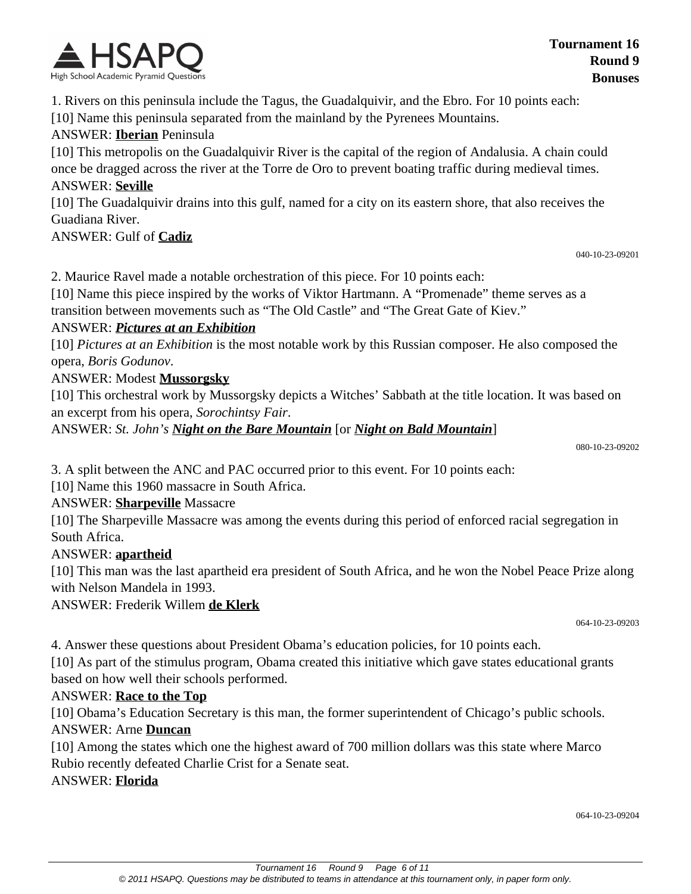

1. Rivers on this peninsula include the Tagus, the Guadalquivir, and the Ebro. For 10 points each: [10] Name this peninsula separated from the mainland by the Pyrenees Mountains.

#### ANSWER: **Iberian** Peninsula

[10] This metropolis on the Guadalquivir River is the capital of the region of Andalusia. A chain could once be dragged across the river at the Torre de Oro to prevent boating traffic during medieval times. ANSWER: **Seville**

[10] The Guadalquivir drains into this gulf, named for a city on its eastern shore, that also receives the Guadiana River.

ANSWER: Gulf of **Cadiz**

040-10-23-09201

2. Maurice Ravel made a notable orchestration of this piece. For 10 points each:

[10] Name this piece inspired by the works of Viktor Hartmann. A "Promenade" theme serves as a transition between movements such as "The Old Castle" and "The Great Gate of Kiev."

#### ANSWER: *Pictures at an Exhibition*

[10] *Pictures at an Exhibition* is the most notable work by this Russian composer. He also composed the opera, *Boris Godunov*.

#### ANSWER: Modest **Mussorgsky**

[10] This orchestral work by Mussorgsky depicts a Witches' Sabbath at the title location. It was based on an excerpt from his opera, *Sorochintsy Fair*.

ANSWER: *St. John's Night on the Bare Mountain* [or *Night on Bald Mountain*]

080-10-23-09202

3. A split between the ANC and PAC occurred prior to this event. For 10 points each:

[10] Name this 1960 massacre in South Africa.

#### ANSWER: **Sharpeville** Massacre

[10] The Sharpeville Massacre was among the events during this period of enforced racial segregation in South Africa.

#### ANSWER: **apartheid**

[10] This man was the last apartheid era president of South Africa, and he won the Nobel Peace Prize along with Nelson Mandela in 1993.

ANSWER: Frederik Willem **de Klerk**

064-10-23-09203

4. Answer these questions about President Obama's education policies, for 10 points each.

[10] As part of the stimulus program, Obama created this initiative which gave states educational grants based on how well their schools performed.

#### ANSWER: **Race to the Top**

[10] Obama's Education Secretary is this man, the former superintendent of Chicago's public schools. ANSWER: Arne **Duncan**

[10] Among the states which one the highest award of 700 million dollars was this state where Marco Rubio recently defeated Charlie Crist for a Senate seat.

ANSWER: **Florida**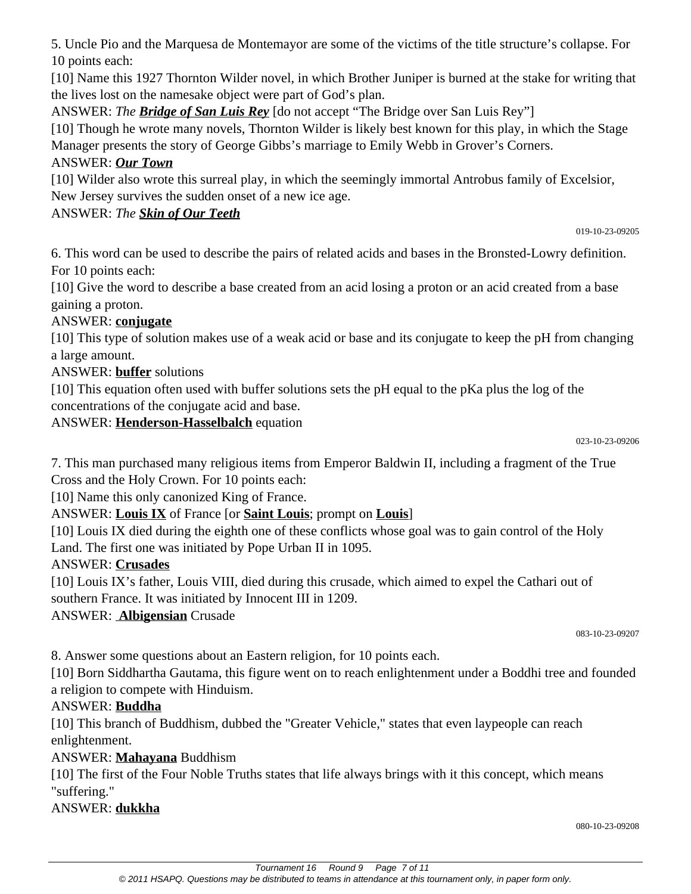5. Uncle Pio and the Marquesa de Montemayor are some of the victims of the title structure's collapse. For 10 points each:

[10] Name this 1927 Thornton Wilder novel, in which Brother Juniper is burned at the stake for writing that the lives lost on the namesake object were part of God's plan.

ANSWER: *The Bridge of San Luis Rey* [do not accept "The Bridge over San Luis Rey"]

[10] Though he wrote many novels, Thornton Wilder is likely best known for this play, in which the Stage Manager presents the story of George Gibbs's marriage to Emily Webb in Grover's Corners.

## ANSWER: *Our Town*

[10] Wilder also wrote this surreal play, in which the seemingly immortal Antrobus family of Excelsior, New Jersey survives the sudden onset of a new ice age.

## ANSWER: *The Skin of Our Teeth*

019-10-23-09205

6. This word can be used to describe the pairs of related acids and bases in the Bronsted-Lowry definition. For 10 points each:

[10] Give the word to describe a base created from an acid losing a proton or an acid created from a base gaining a proton.

## ANSWER: **conjugate**

[10] This type of solution makes use of a weak acid or base and its conjugate to keep the pH from changing a large amount.

## ANSWER: **buffer** solutions

[10] This equation often used with buffer solutions sets the pH equal to the pKa plus the log of the concentrations of the conjugate acid and base.

#### ANSWER: **Henderson-Hasselbalch** equation

023-10-23-09206

7. This man purchased many religious items from Emperor Baldwin II, including a fragment of the True Cross and the Holy Crown. For 10 points each:

[10] Name this only canonized King of France.

## ANSWER: **Louis IX** of France [or **Saint Louis**; prompt on **Louis**]

[10] Louis IX died during the eighth one of these conflicts whose goal was to gain control of the Holy Land. The first one was initiated by Pope Urban II in 1095.

#### ANSWER: **Crusades**

[10] Louis IX's father, Louis VIII, died during this crusade, which aimed to expel the Cathari out of southern France. It was initiated by Innocent III in 1209.

ANSWER: **Albigensian** Crusade

083-10-23-09207

8. Answer some questions about an Eastern religion, for 10 points each.

[10] Born Siddhartha Gautama, this figure went on to reach enlightenment under a Boddhi tree and founded a religion to compete with Hinduism.

## ANSWER: **Buddha**

[10] This branch of Buddhism, dubbed the "Greater Vehicle," states that even laypeople can reach enlightenment.

## ANSWER: **Mahayana** Buddhism

[10] The first of the Four Noble Truths states that life always brings with it this concept, which means "suffering."

## ANSWER: **dukkha**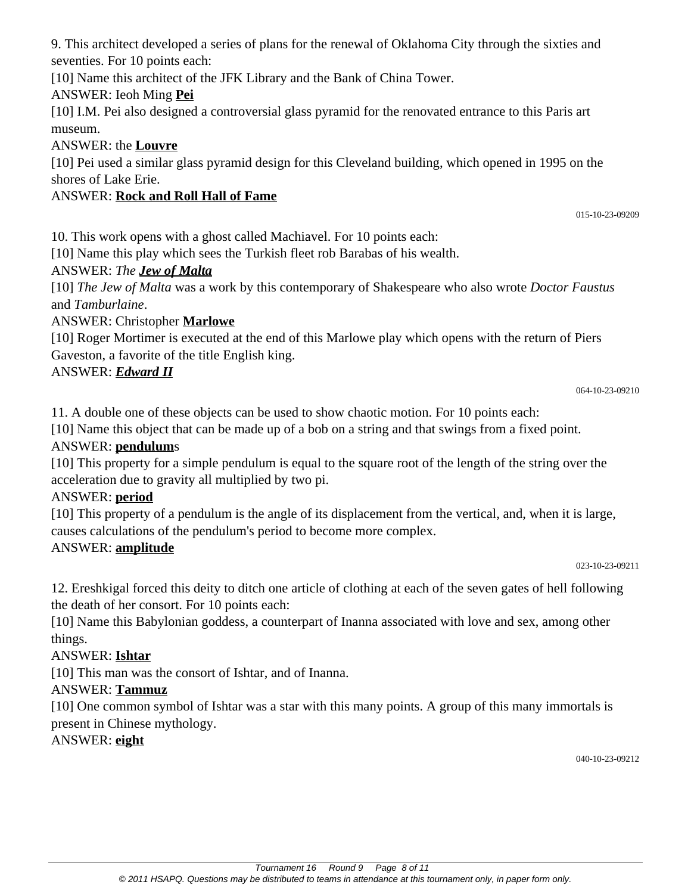9. This architect developed a series of plans for the renewal of Oklahoma City through the sixties and seventies. For 10 points each:

[10] Name this architect of the JFK Library and the Bank of China Tower.

# ANSWER: Ieoh Ming **Pei**

[10] I.M. Pei also designed a controversial glass pyramid for the renovated entrance to this Paris art museum.

## ANSWER: the **Louvre**

[10] Pei used a similar glass pyramid design for this Cleveland building, which opened in 1995 on the shores of Lake Erie.

# ANSWER: **Rock and Roll Hall of Fame**

10. This work opens with a ghost called Machiavel. For 10 points each:

[10] Name this play which sees the Turkish fleet rob Barabas of his wealth.

# ANSWER: *The Jew of Malta*

[10] *The Jew of Malta* was a work by this contemporary of Shakespeare who also wrote *Doctor Faustus* and *Tamburlaine*.

# ANSWER: Christopher **Marlowe**

[10] Roger Mortimer is executed at the end of this Marlowe play which opens with the return of Piers Gaveston, a favorite of the title English king.

# ANSWER: *Edward II*

064-10-23-09210

11. A double one of these objects can be used to show chaotic motion. For 10 points each:

[10] Name this object that can be made up of a bob on a string and that swings from a fixed point.

# ANSWER: **pendulum**s

[10] This property for a simple pendulum is equal to the square root of the length of the string over the acceleration due to gravity all multiplied by two pi.

# ANSWER: **period**

[10] This property of a pendulum is the angle of its displacement from the vertical, and, when it is large, causes calculations of the pendulum's period to become more complex.

# ANSWER: **amplitude**

023-10-23-09211

12. Ereshkigal forced this deity to ditch one article of clothing at each of the seven gates of hell following the death of her consort. For 10 points each:

[10] Name this Babylonian goddess, a counterpart of Inanna associated with love and sex, among other things.

## ANSWER: **Ishtar**

[10] This man was the consort of Ishtar, and of Inanna.

## ANSWER: **Tammuz**

[10] One common symbol of Ishtar was a star with this many points. A group of this many immortals is present in Chinese mythology.

## ANSWER: **eight**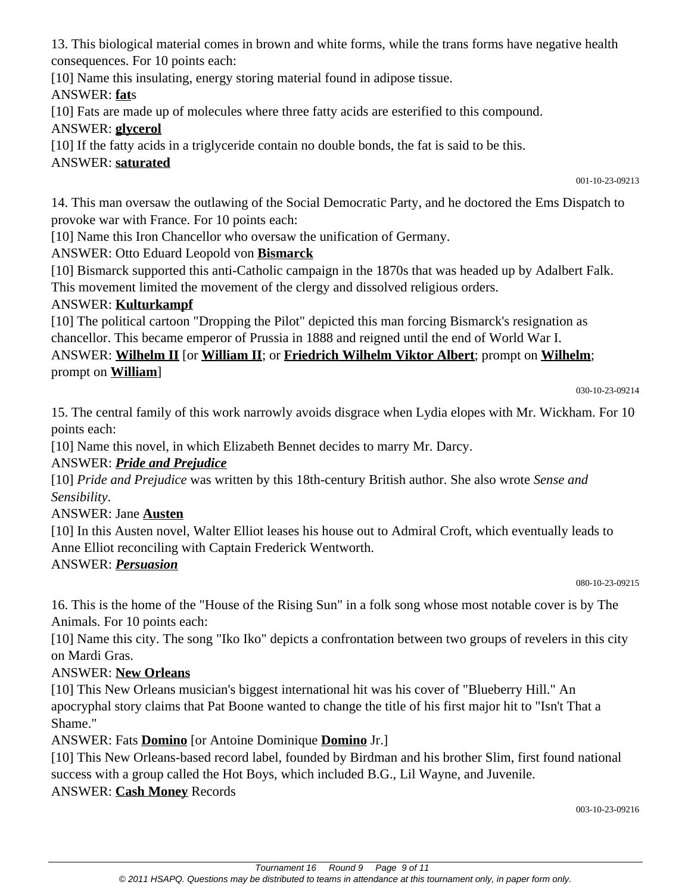13. This biological material comes in brown and white forms, while the trans forms have negative health consequences. For 10 points each:

[10] Name this insulating, energy storing material found in adipose tissue.

ANSWER: **fat**s

[10] Fats are made up of molecules where three fatty acids are esterified to this compound.

## ANSWER: **glycerol**

[10] If the fatty acids in a triglyceride contain no double bonds, the fat is said to be this.

## ANSWER: **saturated**

001-10-23-09213

14. This man oversaw the outlawing of the Social Democratic Party, and he doctored the Ems Dispatch to provoke war with France. For 10 points each:

[10] Name this Iron Chancellor who oversaw the unification of Germany.

ANSWER: Otto Eduard Leopold von **Bismarck**

[10] Bismarck supported this anti-Catholic campaign in the 1870s that was headed up by Adalbert Falk.

This movement limited the movement of the clergy and dissolved religious orders.

# ANSWER: **Kulturkampf**

[10] The political cartoon "Dropping the Pilot" depicted this man forcing Bismarck's resignation as chancellor. This became emperor of Prussia in 1888 and reigned until the end of World War I.

## ANSWER: **Wilhelm II** [or **William II**; or **Friedrich Wilhelm Viktor Albert**; prompt on **Wilhelm**; prompt on **William**]

030-10-23-09214

15. The central family of this work narrowly avoids disgrace when Lydia elopes with Mr. Wickham. For 10 points each:

[10] Name this novel, in which Elizabeth Bennet decides to marry Mr. Darcy.

## ANSWER: *Pride and Prejudice*

[10] *Pride and Prejudice* was written by this 18th-century British author. She also wrote *Sense and Sensibility*.

# ANSWER: Jane **Austen**

[10] In this Austen novel, Walter Elliot leases his house out to Admiral Croft, which eventually leads to Anne Elliot reconciling with Captain Frederick Wentworth.

## ANSWER: *Persuasion*

080-10-23-09215

16. This is the home of the "House of the Rising Sun" in a folk song whose most notable cover is by The Animals. For 10 points each:

[10] Name this city. The song "Iko Iko" depicts a confrontation between two groups of revelers in this city on Mardi Gras.

# ANSWER: **New Orleans**

[10] This New Orleans musician's biggest international hit was his cover of "Blueberry Hill." An apocryphal story claims that Pat Boone wanted to change the title of his first major hit to "Isn't That a Shame."

ANSWER: Fats **Domino** [or Antoine Dominique **Domino** Jr.]

[10] This New Orleans-based record label, founded by Birdman and his brother Slim, first found national success with a group called the Hot Boys, which included B.G., Lil Wayne, and Juvenile. ANSWER: **Cash Money** Records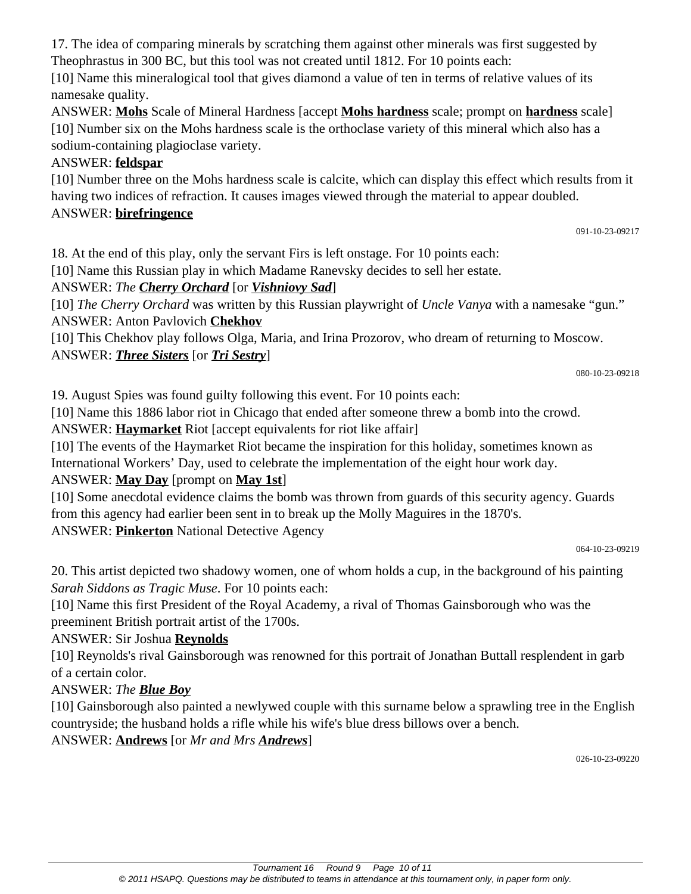17. The idea of comparing minerals by scratching them against other minerals was first suggested by Theophrastus in 300 BC, but this tool was not created until 1812. For 10 points each:

[10] Name this mineralogical tool that gives diamond a value of ten in terms of relative values of its namesake quality.

ANSWER: **Mohs** Scale of Mineral Hardness [accept **Mohs hardness** scale; prompt on **hardness** scale] [10] Number six on the Mohs hardness scale is the orthoclase variety of this mineral which also has a sodium-containing plagioclase variety.

## ANSWER: **feldspar**

[10] Number three on the Mohs hardness scale is calcite, which can display this effect which results from it having two indices of refraction. It causes images viewed through the material to appear doubled. ANSWER: **birefringence**

091-10-23-09217

18. At the end of this play, only the servant Firs is left onstage. For 10 points each:

[10] Name this Russian play in which Madame Ranevsky decides to sell her estate.

## ANSWER: *The Cherry Orchard* [or *Vishniovy Sad*]

[10] *The Cherry Orchard* was written by this Russian playwright of *Uncle Vanya* with a namesake "gun." ANSWER: Anton Pavlovich **Chekhov**

[10] This Chekhov play follows Olga, Maria, and Irina Prozorov, who dream of returning to Moscow. ANSWER: *Three Sisters* [or *Tri Sestry*]

080-10-23-09218

19. August Spies was found guilty following this event. For 10 points each:

[10] Name this 1886 labor riot in Chicago that ended after someone threw a bomb into the crowd.

ANSWER: **Haymarket** Riot [accept equivalents for riot like affair]

[10] The events of the Haymarket Riot became the inspiration for this holiday, sometimes known as International Workers' Day, used to celebrate the implementation of the eight hour work day.

## ANSWER: **May Day** [prompt on **May 1st**]

[10] Some anecdotal evidence claims the bomb was thrown from guards of this security agency. Guards from this agency had earlier been sent in to break up the Molly Maguires in the 1870's. ANSWER: **Pinkerton** National Detective Agency

064-10-23-09219

20. This artist depicted two shadowy women, one of whom holds a cup, in the background of his painting *Sarah Siddons as Tragic Muse*. For 10 points each:

[10] Name this first President of the Royal Academy, a rival of Thomas Gainsborough who was the preeminent British portrait artist of the 1700s.

## ANSWER: Sir Joshua **Reynolds**

[10] Reynolds's rival Gainsborough was renowned for this portrait of Jonathan Buttall resplendent in garb of a certain color.

## ANSWER: *The Blue Boy*

[10] Gainsborough also painted a newlywed couple with this surname below a sprawling tree in the English countryside; the husband holds a rifle while his wife's blue dress billows over a bench.

ANSWER: **Andrews** [or *Mr and Mrs Andrews*]